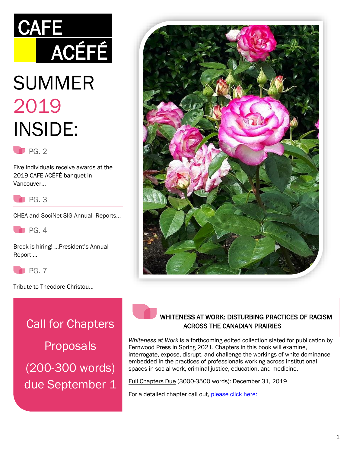# **CAFE ACÉFÉ**

# SUMMER 2019 INSIDE:

 $P<sub>G. 2</sub>$ 

Five individuals receive awards at the 2019 CAFE-ACÉFÉ banquet in Vancouver…



CHEA and SociNet SIG Annual Reports…



Brock is hiring! …President's Annual Report …

PG. 7

Tribute to Theodore Christou…

Call for Chapters Proposals (200-300 words) due September 1





#### WHITENESS AT WORK: DISTURBING PRACTICES OF RACISM ACROSS THE CANADIAN PRAIRIES

*Whiteness at Work* is a forthcoming edited collection slated for publication by Fernwood Press in Spring 2021. Chapters in this book will examine, interrogate, expose, disrupt, and challenge the workings of white dominance embedded in the practices of professionals working across institutional spaces in social work, criminal justice, education, and medicine.

Full Chapters Due (3000-3500 words): December 31, 2019

For a detailed chapter call out, [please click here:](https://drive.google.com/open?id=1uThJDfjTXh5-N3v8b0dtoSI_K9OnlmvZ)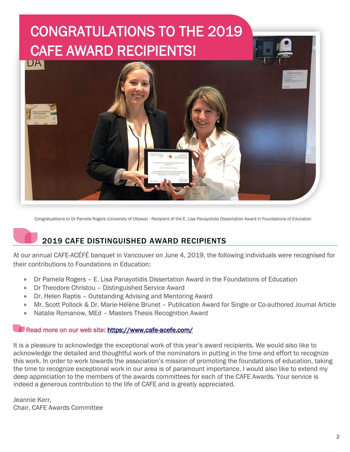# CONGRATULATIONS TO THE 2019 CAFE AWARD RECIPIENTS!



Congratualtions to Dr Pamela Rogers (University of Ottawa) - Recipient of the E. Lisa Panayotidis Dissertation Award in Foundations of Education

# 2019 CAFE DISTINGUISHED AWARD RECIPIENTS

At our annual CAFE-ACÉFÉ banquet in Vancouver on June 4, 2019, the following individuals were recognised for their contributions to Foundations in Education:

- Dr Pamela Rogers E. Lisa Panayotidis Dissertation Award in the Foundations of Education
- Dr Theodore Christou Distinguished Service Award
- Dr. Helen Raptis Outstanding Advising and Mentoring Award
- Mr. Scott Pollock & Dr. Marie-Hélène Brunet Publication Award for Single or Co-authored Journal Article
- Natalie Romanow, MEd Masters Thesis Recognition Award

#### Read more on our web site: [https://www.cafe-acefe.com/](https://www.cafe-acefe.com/award-recipients-2019)

It is a pleasure to acknowledge the exceptional work of this year's award recipients. We would also like to acknowledge the detailed and thoughtful work of the nominators in putting in the time and effort to recognize this work. In order to work towards the association's mission of promoting the foundations of education, taking the time to recognize exceptional work in our area is of paramount importance. I would also like to extend my deep appreciation to the members of the awards committees for each of the CAFE Awards. Your service is indeed a generous contribution to the life of CAFE and is greatly appreciated.

Jeannie Kerr, Chair, CAFE Awards Committee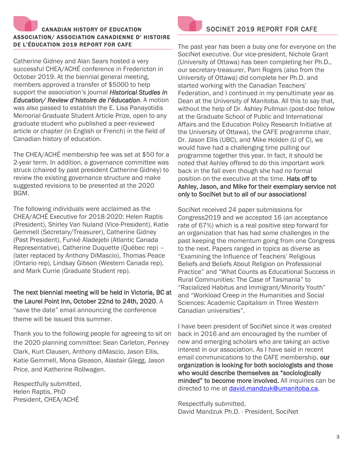# CANADIAN HISTORY OF EDUCATION ASSOCIATION/ ASSOCIATION CANADIENNE D' HISTOIRE DE L'ÉDUCATION 2019 REPORT FOR CAFE

Catherine Gidney and Alan Sears hosted a very successful CHEA/ACHÉ conference in Fredericton in October 2019. At the biennial general meeting, members approved a transfer of \$5000 to help support the association's journal *Historical Studies in Education/ Review d'histoire de l'éducation*. A motion was also passed to establish the E. Lisa Panayotidis Memorial Graduate Student Article Prize, open to any graduate student who published a peer-reviewed article or chapter (in English or French) in the field of Canadian history of education.

The CHEA/ACHÉ membership fee was set at \$50 for a 2-year term. In addition, a governance committee was struck (chaired by past president Catherine Gidney) to review the existing governance structure and make suggested revisions to be presented at the 2020 BGM.

The following individuals were acclaimed as the CHEA/ACHÉ Executive for 2018-2020: Helen Raptis (President), Shirley Van Nuland (Vice-President), Katie Gemmell (Secretary/Treasurer), Catherine Gidney (Past President), Funké Aladejebi (Atlantic Canada Representative), Catherine Duquette (Québec rep) – (later replaced by Anthony DiMascio), Thomas Peace (Ontario rep), Lindsay Gibson (Western Canada rep), and Mark Currie (Graduate Student rep).

#### The next biennial meeting will be held in Victoria, BC at the Laurel Point Inn, October 22nd to 24th, 2020. A

"save the date" email announcing the conference theme will be issued this summer.

Thank you to the following people for agreeing to sit on the 2020 planning committee: Sean Carleton, Penney Clark, Kurt Clausen, Anthony diMascio, Jason Ellis, Katie Gemmell, Mona Gleason, Alastair Glegg, Jason Price, and Katherine Rollwagen.

Respectfully submitted, Helen Raptis, PhD President, CHEA/ACHÉ



### SOCINET 2019 REPORT FOR CAFE

The past year has been a busy one for everyone on the SociNet executive. Our vice-president, Nichole Grant (University of Ottawa) has been completing her Ph.D., our secretary-treasurer, Pam Rogers (also from the University of Ottawa) did complete her Ph.D. and started working with the Canadian Teachers' Federation, and I continued in my penultimate year as Dean at the University of Manitoba. All this to say that, without the help of Dr. Ashley Pullman (post-doc fellow at the Graduate School of Public and International Affairs and the Education Policy Research Initiative at the University of Ottawa), the CAFE programme chair, Dr. Jason Ellis (UBC), and Mike Holden (U of C), we would have had a challenging time pulling our programme together this year. In fact, it should be noted that Ashley offered to do this important work back in the fall even though she had no formal position on the executive at the time. Hats off to Ashley, Jason, and Mike for their exemplary service not only to SociNet but to all of our associations!

SociNet received 24 paper submissions for Congress2019 and we accepted 16 (an acceptance rate of 67%) which is a real positive step forward for an organization that has had some challenges in the past keeping the momentum going from one Congress to the next. Papers ranged in topics as diverse as "Examining the Influence of Teachers' Religious Beliefs and Beliefs About Religion on Professional Practice" and "What Counts as Educational Success in Rural Communities: The Case of Tasmania" to "Racialized Habitus and Immigrant/Minority Youth" and "Workload Creep in the Humanities and Social Sciences: Academic Capitalism in Three Western Canadian universities".

I have been president of SociNet since it was created back in 2016 and am encouraged by the number of new and emerging scholars who are taking an active interest in our association. As I have said in recent email communications to the CAFE membership, our organization is looking for both sociologists and those who would describe themselves as "sociologically minded" to become more involved. All inquiries can be directed to me at *david.mandzuk@umanitoba.ca.* 

Respectfully submitted, David Mandzuk Ph.D. - President, SociNet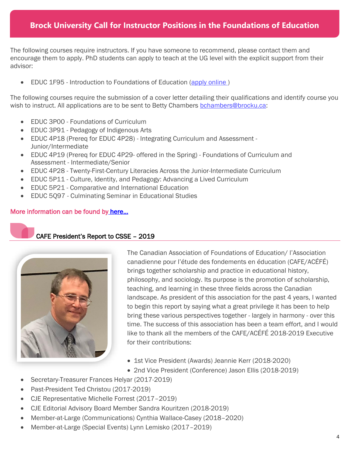## **Brock University Call for Instructor Positions in the Foundations of Education**

The following courses require instructors. If you have someone to recommend, please contact them and encourage them to apply. PhD students can apply to teach at the UG level with the explicit support from their advisor:

• EDUC 1F95 - Introduction to Foundations of Education [\(apply online](https://brocku.wd3.myworkdayjobs.com/en-US/brocku_careers/job/St-Catharines-Main-Campus/Education-Instructor-EDUC-1F95-Fall-Winter-D1_JR-1003909))

The following courses require the submission of a cover letter detailing their qualifications and identify course you wish to instruct. All applications are to be sent to Betty Chambers [bchambers@brocku.ca:](mailto:bchambers@brocku.ca)

- EDUC 3P00 Foundations of Curriculum
- EDUC 3P91 Pedagogy of Indigenous Arts
- EDUC 4P18 (Prereq for EDUC 4P28) Integrating Curriculum and Assessment Junior/Intermediate
- EDUC 4P19 (Prereq for EDUC 4P29- offered in the Spring) Foundations of Curriculum and Assessment - Intermediate/Senior
- EDUC 4P28 Twenty-First-Century Literacies Across the Junior-Intermediate Curriculum
- EDUC 5P11 Culture, Identity, and Pedagogy: Advancing a Lived Curriculum
- EDUC 5P21 Comparative and International Education
- EDUC 5Q97 Culminating Seminar in Educational Studies

#### More information can be found b[y here](https://static.wixstatic.com/ugd/35342b_01d0e98de8ba4d82a00e446e5359bff5.pdf)...

#### CAFE President's Report to CSSE – 2019



The Canadian Association of Foundations of Education/ l'Association canadienne pour l'étude des fondements en éducation (CAFE/ACÉFÉ) brings together scholarship and practice in educational history, philosophy, and sociology. Its purpose is the promotion of scholarship, teaching, and learning in these three fields across the Canadian landscape. As president of this association for the past 4 years, I wanted to begin this report by saying what a great privilege it has been to help bring these various perspectives together - largely in harmony - over this time. The success of this association has been a team effort, and I would like to thank all the members of the CAFE/ACÉFÉ 2018-2019 Executive for their contributions:

- 1st Vice President (Awards) Jeannie Kerr (2018-2020)
- 2nd Vice President (Conference) Jason Ellis (2018-2019)
- Secretary-Treasurer Frances Helyar (2017-2019)
- Past-President Ted Christou (2017-2019)
- CJE Representative Michelle Forrest (2017–2019)
- CJE Editorial Advisory Board Member Sandra Kouritzen (2018-2019)
- Member-at-Large (Communications) Cynthia Wallace-Casey (2018–2020)
- Member-at-Large (Special Events) Lynn Lemisko (2017–2019)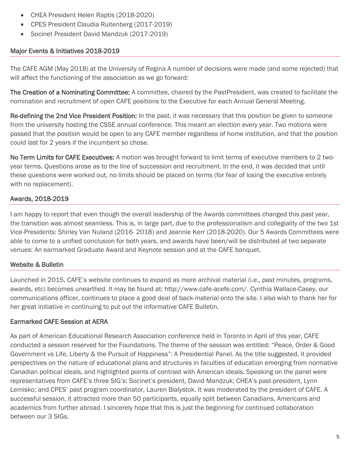- CHEA President Helen Raptis (2018-2020)
- CPES President Claudia Ruitenberg (2017-2019)
- Socinet President David Mandzuk (2017-2019)

#### Major Events & Initiatives 2018-2019

The CAFE AGM (May 2018) at the University of Regina A number of decisions were made (and some rejected) that will affect the functioning of the association as we go forward:

The Creation of a Nominating Committee: A committee, chaired by the PastPresident, was created to facilitate the nomination and recruitment of open CAFE positions to the Executive for each Annual General Meeting.

Re-defining the 2nd Vice President Position: In the past, it was necessary that this position be given to someone from the university hosting the CSSE annual conference. This meant an election every year. Two motions were passed that the position would be open to any CAFE member regardless of home institution, and that the position could last for 2 years if the incumbent so chose.

No Term Limits for CAFE Executives: A motion was brought forward to limit terms of executive members to 2 twoyear terms. Questions arose as to the line of succession and recruitment. In the end, it was decided that until these questions were worked out, no limits should be placed on terms (for fear of losing the executive entirely with no replacement).

#### Awards, 2018-2019

I am happy to report that even though the overall leadership of the Awards committees changed this past year, the transition was almost seamless. This is, in large part, due to the professionalism and collegiality of the two 1st Vice-Presidents: Shirley Van Nuland (2016- 2018) and Jeannie Kerr (2018-2020). Our 5 Awards Committees were able to come to a unified conclusion for both years, and awards have been/will be distributed at two separate venues: An earmarked Graduate Award and Keynote session and at the CAFE banquet.

#### Website & Bulletin

Launched in 2015, CAFE's website continues to expand as more archival material (i.e., past minutes, programs, awards, etc) becomes unearthed. It may be found at: http://www.cafe-acefe.com/. Cynthia Wallace-Casey, our communications officer, continues to place a good deal of back-material onto the site. I also wish to thank her for her great initiative in continuing to put out the informative CAFE Bulletin.

#### Earmarked CAFE Session at AERA

As part of American Educational Research Association conference held in Toronto in April of this year, CAFE conducted a session reserved for the Foundations. The theme of the session was entitled: "Peace, Order & Good Government vs Life, Liberty & the Pursuit of Happiness": A Presidential Panel. As the title suggested, it provided perspectives on the nature of educational plans and structures in faculties of education emerging from normative Canadian political ideals, and highlighted points of contrast with American ideals. Speaking on the panel were representatives from CAFE's three SIG's: Socinet's president, David Mandzuk; CHEA's past-president, Lynn Lemisko; and CPES' past program coordinator, Lauren Bialystok. It was moderated by the president of CAFE. A successful session, it attracted more than 50 participants, equally split between Canadians, Americans and academics from further abroad. I sincerely hope that this is just the beginning for continued collaboration between our 3 SIGs.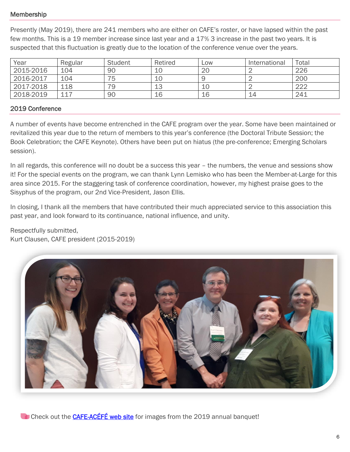#### Membership

Presently (May 2019), there are 241 members who are either on CAFE's roster, or have lapsed within the past few months. This is a 19 member increase since last year and a 17% 3 increase in the past two years. It is suspected that this fluctuation is greatly due to the location of the conference venue over the years.

| Year      | Regular | <b>Student</b> | Retired | Low            | International | Total |
|-----------|---------|----------------|---------|----------------|---------------|-------|
| 2015-2016 | 104     | 90             | 10      | 2 <sub>C</sub> |               | 226   |
| 2016-2017 | 104     | 75             | 10      |                |               | 200   |
| 2017-2018 | 118     | 79             | 13      | 10             |               | 222   |
| 2018-2019 | 117     | 90             | 16      | 16             | 14            | 241   |

#### 2019 Conference

A number of events have become entrenched in the CAFE program over the year. Some have been maintained or revitalized this year due to the return of members to this year's conference (the Doctoral Tribute Session; the Book Celebration; the CAFE Keynote). Others have been put on hiatus (the pre-conference; Emerging Scholars session).

In all regards, this conference will no doubt be a success this year – the numbers, the venue and sessions show it! For the special events on the program, we can thank Lynn Lemisko who has been the Member-at-Large for this area since 2015. For the staggering task of conference coordination, however, my highest praise goes to the Sisyphus of the program, our 2nd Vice-President, Jason Ellis.

In closing, I thank all the members that have contributed their much appreciated service to this association this past year, and look forward to its continuance, national influence, and unity.

Respectfully submitted, Kurt Clausen, CAFE president (2015-2019)



Check out the **[CAFE-ACÉFÉ web site](https://www.cafe-acefe.com/photo-gallery-2019)** for images from the 2019 annual banquet!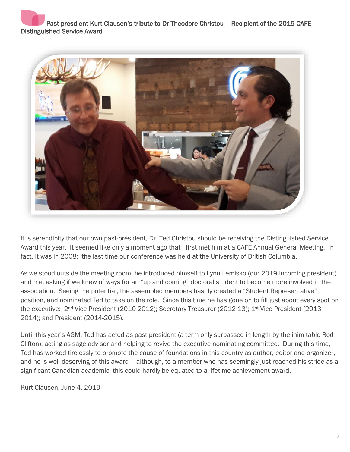

It is serendipity that our own past-president, Dr. Ted Christou should be receiving the Distinguished Service Award this year. It seemed like only a moment ago that I first met him at a CAFE Annual General Meeting. In fact, it was in 2008: the last time our conference was held at the University of British Columbia.

As we stood outside the meeting room, he introduced himself to Lynn Lemisko (our 2019 incoming president) and me, asking if we knew of ways for an "up and coming" doctoral student to become more involved in the association. Seeing the potential, the assembled members hastily created a "Student Representative" position, and nominated Ted to take on the role. Since this time he has gone on to fill just about every spot on the executive: 2<sup>nd</sup> Vice-President (2010-2012); Secretary-Treasurer (2012-13); 1<sup>st</sup> Vice-President (2013-2014); and President (2014-2015).

Until this year's AGM, Ted has acted as past-president (a term only surpassed in length by the inimitable Rod Clifton), acting as sage advisor and helping to revive the executive nominating committee. During this time, Ted has worked tirelessly to promote the cause of foundations in this country as author, editor and organizer, and he is well deserving of this award – although, to a member who has seemingly just reached his stride as a significant Canadian academic, this could hardly be equated to a lifetime achievement award.

Kurt Clausen, June 4, 2019